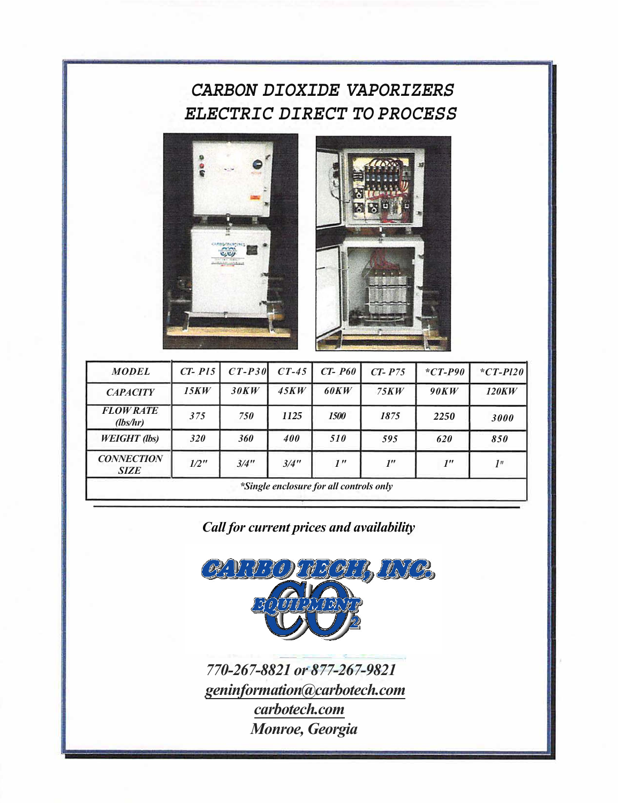## *CARBON DIOXIDE VAPORIZERS ELECTRIC DIRECT TO PROCESS*





| <b>MODEL</b>                            | $CT-PI5$ | $CT-P30$ | $CT-45$ | $CT- P60$       | $CT- P75$          | $*CT-P90$          | $*CT-PI20$      |  |  |
|-----------------------------------------|----------|----------|---------|-----------------|--------------------|--------------------|-----------------|--|--|
| <b>CAPACITY</b>                         | 15KW     | 30KW     | 45KW    | <b>60KW</b>     | 75KW               | 90KW               | <b>120KW</b>    |  |  |
| <b>FLOW RATE</b><br>(lbs/hr)            | 375      | 750      | 1125    | <b>1500</b>     | 1875               | 2250               | 3000            |  |  |
| <b>WEIGHT</b> (lbs)                     | 320      | 360      | 400     | 510             | 595                | 620                | 850             |  |  |
| <b>CONNECTION</b><br><b>SIZE</b>        | $1/2$ "  | 3/4"     | 3/4"    | 1 <sup>''</sup> | $I^{\prime\prime}$ | $I^{\prime\prime}$ | 1 <sup>''</sup> |  |  |
| *Single enclosure for all controls only |          |          |         |                 |                    |                    |                 |  |  |

*Call for current prices and availability*



*770-267-8821 or 877-267-9821 geninformation@carbotech.com carbotech.com Monroe, Georgia*